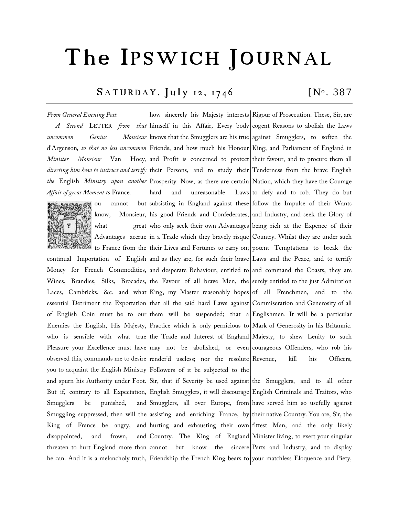# The IPSWICH JOURNAL

# $SATURDAY$ ,  $July$  12, 1746  $[N<sup>o</sup>$ . 387

#### *From General Evening Post.*

*Affair of great Moment to* France*.*



ou cannot

Smugglers be punished, disappointed, and frown,

*A Second* LETTER *from that*  himself in this Affair, Every body cogent Reasons to abolish the Laws *uncommon* Genius Monsieur knows that the Smugglers are his true against Smugglers, to soften the d'Argenson*, to that no less uncommon*  Friends, and how much his Honour King; and Parliament of England in *Minister Monsieur* Van Hoey, and Profit is concerned to protect their favour, and to procure them all directing him how to instruct and terrify their Persons, and to study their Tenderness from the brave English *the* English *Ministry upon another*  Prosperity. Now, as there are certain Nation, which they have the Courage know, Monsieur, his good Friends and Confederates, and Industry, and seek the Glory of what  $\qquad \qquad \text{great}$  who only seek their own Advantages being rich at the Expence of their Advantages accrue|in a Trade which they bravely risque|Country. Whilst they are under such to France from the their Lives and Fortunes to carry on; potent Temptations to break the continual Importation of English and as they are, for such their brave Laws and the Peace, and to terrify Money for French Commodities, and desperate Behaviour, entitled to and command the Coasts, they are Wines, Brandies, Silks, Brocades, the Favour of all brave Men, the surely entitled to the just Admiration Laces, Cambricks, &c. and what King, my Master reasonably hopes of all Frenchmen, and to the essential Detriment the Exportation that all the said hard Laws against Commiseration and Generosity of all of English Coin must be to our them will be suspended; that a Englishmen. It will be a particular Enemies the English, His Majesty, Practice which is only pernicious to Mark of Generosity in his Britannic. who is sensible with what true|the Trade and Interest of England|Majesty, to shew Lenity to such Pleasure your Excellence must have may not be abolished, or even courageous Offenders, who rob his observed this, commands me to desire render'd useless; nor the resolute Revenue, kill his Officers, you to acquaint the English Ministry Followers of it be subjected to the how sincerely his Majesty interests Rigour of Prosecution. These, Sir, are hard and unreasonable subsisting in England against these follow the Impulse of their Wants and spurn his Authority under Foot. Sir, that if Severity be used against the Smugglers, and to all other

But if, contrary to all Expectation, English Smugglers, it will discourage English Criminals and Traitors, who Smuggling suppressed, then will the assisting and enriching France, by their native Country. You are, Sir, the King of France be angry, and hurting and exhausting their own fittest Man, and the only likely threaten to hurt England more than cannot but know the sincere Parts and Industry, and to display he can. And it is a melancholy truth, Friendship the French King bears to your matchless Eloquence and Piety, Smugglers, all over Europe, from have served him so usefully against Country. The King of England Minister living, to exert your singular

Laws to defy and to rob. They do but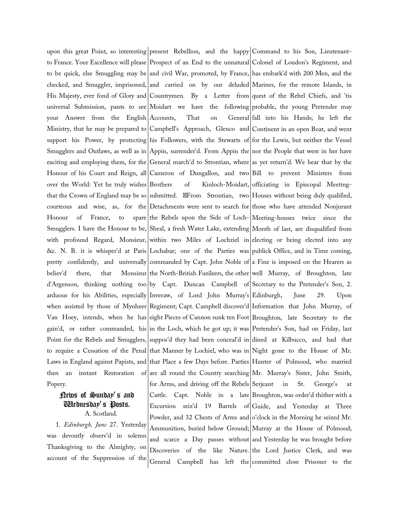over the World: Yet he truly wishes that the Crown of England may be so Honour of France, to Popery.

### News of Sunday's and Wednesday's Posts. A. Scotland.

1. *Edinburgh, June* 27. Yesterday was devoutly observ'd in solemn Thanksgiving to the Almighty, on account of the Suppression of the

upon this great Point, so interesting present Rebellion, and the happy Command to his Son, Lieutenantto France. Your Excellence will please Prospect of an End to the unnatural Colonel of Loudon's Regiment, and to be quick, else Smuggling may be|and civil War, promoted, by France,|has embark'd with 200 Men, and the checked, and Smuggler, imprisoned, and carried on by our deluded Marines, for the remote Islands, in His Majesty, ever fond of Glory and Countrymen. By a Letter from quest of the Rebel Chiefs, and 'tis universal Submission, pants to see Moidart we have the following probable, the young Pretender may your Answer from the English|Accounts, That on General Ministry, that he may be prepared to Campbell's Approach, Glenco and Continent in an open Boat, and went support his Power, by protecting his Followers, with the Stewarts of for the Lewis, but neither the Vessel Smugglers and Outlaws, as well as in|Appin, surrender'd. From Appin the|nor the People that were in her have exciting and employing them, for the General march'd to Strontian, where as yet return'd. We hear that by the Honour of his Court and Reign, all Cameron of Dungallon, and two Bill to prevent Ministers from courteous and wise, as, for the Detachments were sent to search for those who have attended Nonjurant Smugglers. I have the Honour to be, Sheal, a fresh Water Lake, extending Month of last, are disqualified from with profound Regard, Monsieur, within two Miles of Lochziel in electing or being elected into any &c. N. B. it is whisper'd at Paris Lochabar; one of the Parties was publick Office, and in Time coming, pretty confidently, and universally commanded by Capt. John Noble of a Fine is imposed on the Hearers as believ'd there, that Monsieur|the North-British Fuzileers, the other|well Murray, of Broughton, late d'Argenson, thinking nothing too by Capt. Duncan Campbell of Secretary to the Pretender's Son, 2. arduous for his Abilities, especially Inveraw, of Lord John Murray's Edinburgh, June 29. Upon when assisted by those of Mynheer|Regiment; Capt. Campbell discover'd|Information that John Murray, of Van Hoey, intends, when he has eight Pieces of Cannon sunk ten Foot Broughton, late Secretary to the gain'd, or rather commanded, his|in the Loch, which he got up; it was|Pretender's Son, had on Friday, last Point for the Rebels and Smugglers,|suppos'd they had been conceal'd in|dined at Kilbucco, and had that to require a Cessation of the Penal that Manner by Lochiel, who was in Night gone to the House of Mr. Laws in England against Papists, and that Place a few Days before. Parties Hunter of Polmood, who married then an instant Restoration of are all round the Country searching Mr. Murray's Sister, John Smith, Brothers of Kinloch-Moidart, officiating in Episcopal Meetingsubmitted. From Strontian, two Houses without being duly qualified, the Rebels upon the Side of Loch-Meeting-houses twice since the for Arms, and driving off the Rebels Serjeant in Cattle. Capt. Noble in a late Broughton, was order'd thither with a Excursion seiz'd 19 Barrels of Guide, and Yesterday at Three Powder, and 32 Chests of Arms and o'clock in the Morning he seized Mr. Ammunition, buried below Ground; Murray at the House of Polmood; and scarce a Day passes without and Yesterday he was brought before Discoveries of the like Nature. the Lord Justice Clerk, and was

General Campbell has lett the committed close Prisoner to the General fall into his Hands; he left the St. George's at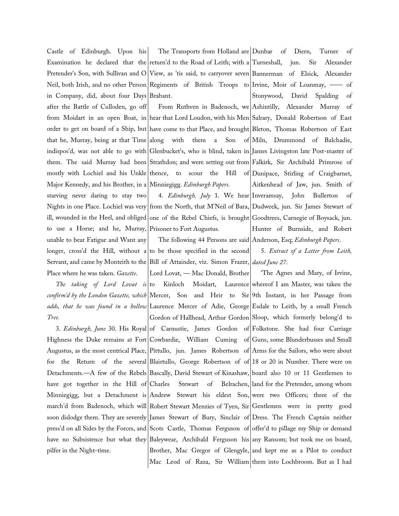Castle of Edinburgh. Upon his Pretender's Son, with Sullivan and O in Company, did, about four Days

after the Battle of Culloden, go off Major Kennedy, and his Brother, in a Minniegigg. *Edinburgh Papers.* starving never daring to stay two to use a Horse; and he, Murray, Prisoner to Fort Augustus. unable to bear Fatigue and Want any longer, cross'd the Hill, without a Place where he was taken. *Gazette*.

*The taking of Lord Lovat is* to *Tree.*

have got together in the Hill of Charles pilfer in the Night-time.

Examination he declared that the return'd to the Road of Leith; with a Neil, both Irish, and no other Person Regiments of British Troops to Irvine, Moir of Loanmay, — of The Transports from Holland are Dunbar of Diern, Turner of View, as 'tis said, to carryover seven Bannerman of Elsick, Alexander Brabant.

from Moidart in an open Boat, in hear that Lord Loudon, with his Men Salrary, Donald Robertson of East order to get on board of a Ship, but have come to that Place, and brought Bleton, Thomas Robertson of East that he, Murray, being at that Time|along with them a Son of Miln, Drummond of Balchadie, indispos'd, was not able to go with Glenbucket's, who is blind, taken in James Livingston late Post-master of them. The said Murray had been Strathdon; and were setting out from Falkirk, Sir Archibald Primrose of mostly with Lochiel and his Unkle|thence, to scour the Hill of|Dunipace, Stirling of Craigbarnet, Nights in one Place. Lochiel was very from the North, that M'Neil of Bara, Dudweek, jun. Sir James Stewart of ill, wounded in the Heel, and obliged|one of the Rebel Chiefs, is brought|Goodtrees, Carnegie of Boysack, jun.

Servant, and came by Monteith to the Bill of Attainder, viz. Simon Frazer, *dated June 27*. The following 44 Persons are said Anderson, Esq; *Edinburgh Papers*. to be those specified in the second

*confirm'd by the London Gazette, which*  Mercer, Son and Heir to Sir 9th Instant, in her Passage from *adds, that he was found in a hollow*  Laurence Mercer of Adie, George Esdale to Leith, by a small French 3. *Edinburgh, June* 30. His Royal of Carnustie, James Gordon of Folkstone. She had four Carriage Highness the Duke remains at Fort Cowbardie, William Cuming of Guns, some Blunderbusses and Small Augustus, as the most centrical Place, Pittullo, jun. James Robertson of Arms for the Sailors, who were about for the Return of the several Blairtullo, George Robertson of of 18 or 20 in Number. There were on Detachments.—A few of the Rebels Bascally, David Stewart of Kinashaw, board also 10 or 11 Gentlemen to Minniegigg, but a Detachment is Andrew Stewart his eldest Son, were two Officers; three of the march'd from Badenoch, which will Robert Stewart Menzies of Tyen, Sir Gentlemen were in pretty good soon dislodge them. They are severely James Stewart of Bury, Sinclair of Dress. The French Captain neither press'd on all Sides by the Forces, and Scots Castle, Thomas Ferguson of offer'd to pillage my Ship or demand have no Subsistence but what they Baleywear, Archibald Ferguson his any Ransom; but took me on board, Lord Lovat, — Mac Donald, Brother to Kinloch Moidart, Laurence whereof I am Master, was taken the Gordon of Hallhead, Arthur Gordon Sloop, which formerly belong'd to Charles Stewart of Belrachen, land for the Pretender, among whom Brother, Mac Gregor of Glengyle,|and kept me as a Pilot to conduct

From Ruthven in Badenoch, we Ashintilly, Alexander Murray of 4. *Edinburgh, July* 1. We hear Inveramsay, John Bullerton of jun. Sir Alexander Stonywood, David Spalding of Aitkenhead of Jaw, jun. Smith of Hunter of Burnside, and Robert

5. *Extract of a Letter from Leith,* 

Mac Leod of Raza, Sir William them into Lochbroom. But as I had 'The Agnes and Mary, of Irvine,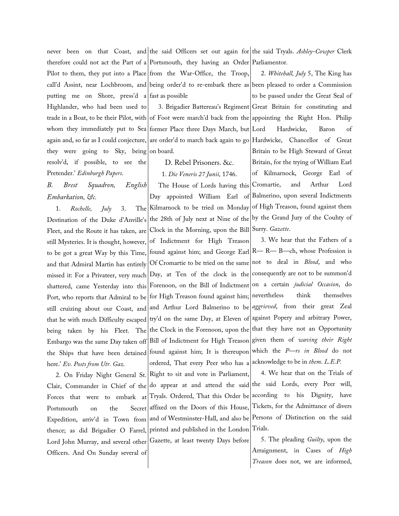putting me on Shore, press'd a fast as possible Highlander, who had been used to they were going to Sky, being resolv'd, if possible, to see the Pretender.' *Edinburgh Papers*.

## *B. Brest Squadron, English Embarkation, &c.*

1. *Rochelle, July* 3. The Destination of the Duke d'Anville's Fleet, and the Route it has taken, are still Mysteries. It is thought, however, to be got a great Way by this Time, and that Admiral Martin has entirely missed it: For a Privateer, very much shattered, came Yesterday into this Port, who reports that Admiral to be still cruizing about our Coast, and that he with much Difficulty escaped being taken by his Fleet. The Embargo was the same Day taken off here.' *Ev. Posts from Utr. Gaz.*

2. On Friday Night General St. Clair, Commander in Chief of the Forces that were to embark at Portsmouth on the Secret Expedition, arriv'd in Town from Lord John Murray, and several other Gazette, at least twenty Days before Officers. And On Sunday several of

never been on that Coast, and the said Officers set out again for the said Tryals. *Ashley-Cowper* Clerk therefore could not act the Part of a Portsmouth, they having an Order Parliamentor*.*

Pilot to them, they put into a Place from the War-Office, the Troop, call'd Assint, near Lochbroom, and being order'd to re-embark there as been pleased to order a Commission

trade in a Boat, to be their Pilot, with of Foot were march'd back from the appointing the Right Hon. Philip whom they immediately put to Sea|tormer Place three Days March, but again and, so far as I could conjecture, |are order'd to march back again to go|Hardwicke, Chancellor of Great on board.

> D. Rebel Prisoners. &c. 1. *Die Veneris 27 Junii,* 1746. The House of Lords having this Day appointed William Earl of Kilmarnock to be tried on Monday of High Treason, found against them the 28th of July next at Nine of the by the Grand Jury of the Couhty of Clock in the Morning, upon the Bill

the Ships that have been detained tound against him; It is thereupon of Indictment for High Treason found against him; and George Earl R— R— B—ch, whose Profession is Of Cromartie to be tried on the same not to deal in *Blood*, and who Day, at Ten of the clock in the consequently are not to be summon'd Forenoon, on the Bill of Indictment on a certain *judicial Occasion*, do for High Treason found against him; nevertheless think themselves and Arthur Lord Balmerino to be *aggrieved*, from their great Zeal try'd on the same Day, at Eleven of against Popery and arbitrary Power, the Clock in the Forenoon, upon the that they have not an Opportunity Bill of Indictment for High Treason ordered, That every Peer who has a acknowledge to be in *them*. *L.E.P.* Right to sit and vote in Parliament, do appear at and attend the said the said Lords, every Peer will, Tryals. Ordered, That this Order be

thence; as did Brigadier O Farrel, printed and published in the London affixed on the Doors of this House, and of Westminster-Hall, and also be

3. Brigadier Battereau's Regiment Great Britain for constituting and 2. *Whitehall, July* 5, The King has to be passed under the Great Seal of Hardwicke, Baron of Britain to be High Steward of Great Britain, for the trying of William Earl of Kilmarnock, George Earl of Cromartie, and Arthur Lord Balmerino, upon several Indictments Surry. *Gazette*.

> 3. We hear that the Fathers of a given them of *waving their Right* which the *P—rs in Blood* do not

> 4. We hear that on the Trials of according to his Dignity, have Tickets, for the Admittance of divers Persons of Distinction on the said Trials.

> 5. The pleading *Guilty*, upon the Arraignment, in Cases of *High Treason* does not, we are informed,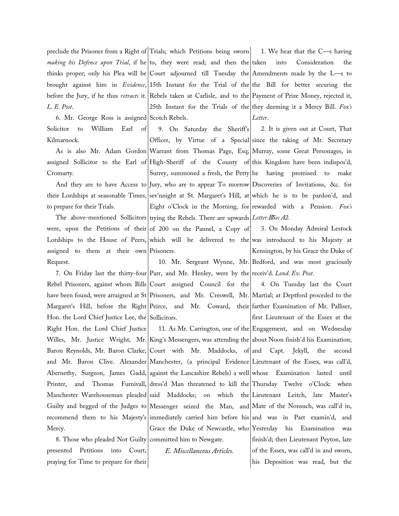*L. E. Post*.

6. Mr. George Ross is assigned Scotch Rebels. Solicitor to William Earl of Kilmarnock.

Cromarty.

to prepare for their Trials.

assigned to them at their own Prisoners. Request.

Hon. the Lord Chief Justice Lee, the Sollicitors. Right Hon. the Lord Chief Justice Mercy.

8. Those who pleaded Not Guilty committed him to Newgate. presented Petitions into Court, praying for Time to prepare for their

preclude the Prisoner from a Right of Trials; which Petitions being sworn making his Defence upon Trial, it he to, they were read; and then the thinks proper; only his Plea will be Court adjourned till Tuesday the Amendments made by the L—s to brought against him in *Evidence*, 15th Instant for the Trial of the the Bill for better securing the before the Jury, if he thus *retracts* it. Rebels taken at Carlisle, and to the Payment of Prize Money, rejected it, 25th Instant for the Trials of the they deeming it a Mercy Bill. *Fox's* 

As is also Mr. Adam Gordon Warrant from Thomas Page, Esq; Murray, some Great Personages, in assigned Sollicitor to the Earl of|High-Sheriff of the County of|this Kingdom have been indispos'd, And they are to have Access to Jury, who are to appear To morrow Discoveries of Invitations, &c. for their Lordships at seasonable Times, sev'nnight at St. Margaret's Hill, at which he is to be pardon'd, and The above-mentioned Sollicitors trying the Rebels. There are upwards *Letter. Sec A2.* were, upon the Petitions of their  $\vert$  of 200 on the Pannel, a Copy of 9. On Saturday the Sheriff's Officer, by Virtue of a Special since the taking of Mr. Secretary Surrey, summoned a fresh, the Petty he having promised to make Eight o'Clock in the Morning, for rewarded with a Pension. *Fox's* 

Lordships to the House of Peers, which will be delivered to the was introduced to his Majesty at

7. On Friday last the thirty-four Parr, and Mr. Henley, were by the receiv'd. *Lond. Ev. Post.* Rebel Prisoners, against whom Bills Court assigned Council for the have been found, were arraigned at St|Prisoners, and Mr. Creswell, Mr.|Martial; at Deptford proceded to the Margaret's Hill, before the Right|Peirce, and Mr. Coward, their|farther-Examination-of-Mr.-Palliser,

Willes, Mr. Justice Wright, Mr.|King's Messengers, was attending the|about Noon finish'd his Examination; Baron Reynolds, Mr. Baron Clarke, Court with Mr. Maddocks, of and Capt. Jekyll, the second and Mr. Baron Clive. Alexander Manchester, (a principal Evidence Lieutenant of the Essex, was call'd, Abernethy, Surgeon, James Gadd, against the Lancashire Rebels) a well whose Examination lasted until Printer, and Thomas Furnivall,|dress'd Man threatened to kill the|Thursday Twelve o'Clock: when Manchester Warehouseman pleaded|said Maddocks; on which the|Lieutenant Leitch, late Master's Guilty and begged of the Judges to Messenger seized the Man, and Mate of the Nonsuch, was call'd in, recommend them to his Majesty's|immediately carried him before his|and was in Part examin'd, and Grace the Duke of Newcastle, who Yesterday his Examination was

*E. Miscellaneous Articles.*

1. We hear that the C—s having into Consideration the *Letter*.

2. It is given out at Court, That

10. Mr. Sergeant Wynne, Mr. Bedford, and was most graciously 3. On Monday Admiral Lestock Kensington, by his Grace the Duke of

4. On Tuesday last the Court

11. As Mr. Carrington, one of the Engagement, and on Wednesday first Lieutenant of the Essex at the finish'd; then Lieutenant Peyton, late of the Essex, was call'd in and sworn, his Deposition was read, but the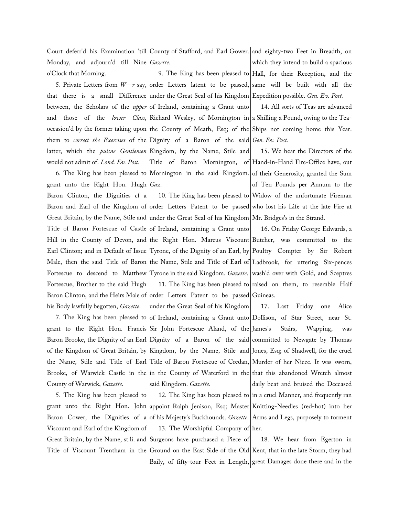Court deferr'd his Examination 'till|County of Stafford, and Earl Gower.|and eighty-two Feet in Breadth, on Monday, and adjourn'd till Nine *Gazette*. o'Clock that Morning. which they intend to build a spacious

between, the Scholars of the *upper* latter, which the *puisne Gentlemen* would not admit of. *Lond. Ev. Post*.

grant unto the Right Hon. Hugh *Gaz*. Baron Clinton, the Dignities cf a Fortescue, Brother to the said Hugh his Body lawfully begotten, *Gazette*.

7. The King has been pleased to grant to the Right Hon. Francis of the Kingdom of Great Britain, by County of Warwick, *Gazette*.

5. The King has been pleased to Viscount and Earl of the Kingdom of

5. Private Letters from *W—r* say, order Letters latent to be passed, same will be built with all the that there is a small Difference under the Great Seal of his Kingdom Expedition possible. *Gen. Ev. Post.* and those of the *lower Class*, Richard Wesley, of Mornington in a Shilling a Pound, owing to the Teaoccasion'd by the former taking upon the County of Meath, Esq; of the Ships not coming home this Year. them to *correct the Exercises* of the Dignity of a Baron of the said *Gen. Ev. Post.* 6. The King has been pleased to Mornington in the said Kingdom. of their Generosity, granted the Sum of Ireland, containing a Grant unto Kingdom, by the Name, Stile and Title of Baron Mornington, of Hand-in-Hand Fire-Office have, out

Baron and Earl of the Kingdom of order Letters Patent to be passed who lost his Life at the late Fire at Great Britain, by the Name, Stile and under the Great Seal of his Kingdom Mr. Bridges's in the Strand. Title of Baron Fortescue of Castle of Ireland, containing a Grant unto Hill in the County of Devon, and the Right Hon. Marcus Viscount Butcher, was committed to the Earl Clinton; and in Default of Issue Tyrone, of the Dignity of an Earl, by Poultry Compter by Sir Robert Male, then the said Title of Baron the Name, Stile and Title of Earl of Ladbrook, for uttering Six-pences Fortescue to descend to Matthew Tyrone in the said Kingdom. *Gazette*. wash'd over with Gold, and Sceptres Baron Clinton, and the Heirs Male of order Letters Patent to be passed Guineas. 11. The King has been pleased to raised on them, to resemble Half

Baron Brooke, the Dignity of an Earl Dignity of a Baron of the said committed to Newgate by Thomas the Name, Stile and Title of Earl Title of Baron Fortescue of Credan, Murder of her Niece. It was sworn, Brooke, of Warwick Castle in the lin the County of Waterford in the that this abandoned Wretch almost under the Great Seal of his Kingdom of Ireland, containing a Grant unto Dollison, of Star Street, near St. Sir John Fortescue Aland, of the James's Kingdom, by the Name, Stile and Jones, Esq; of Shadwell, for the cruel said Kingdom. *Gazette*.

grant unto the Right Hon. John appoint Ralph Jenison, Esq; Master Knitting-Needles (red-hot) into her Baron Cower, the Dignities of a of his Majesty's Buckhounds. *Gazette*. Arms and Legs, purposely to torment 12. The King has been pleased to in a cruel Manner, and frequently ran 13. The Worshipful Company of her.

Great Britain, by the Name, st.li. and Surgeons have purchased a Piece of Title of Viscount Trentham in the Ground on the East Side of the Old Kent, that in the late Storm, they had Baily, of fifty-tour Feet in Length, great Damages done there and in the

9. The King has been pleased to Hall, for their Reception, and the

14. All sorts of Teas are advanced

10. The King has been pleased to Widow of the unfortunate Fireman 15. We hear the Directors of the of Ten Pounds per Annum to the

16. On Friday George Edwards, a

17. Last Friday one Alice Stairs, Wapping, was daily beat and bruised the Deceased

18. We hear from Egerton in